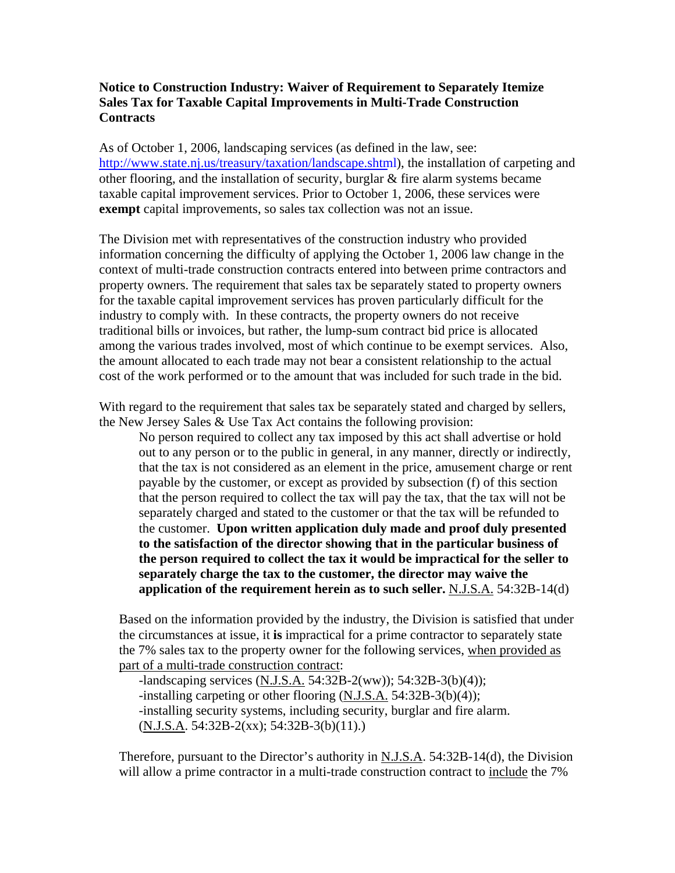## **Notice to Construction Industry: Waiver of Requirement to Separately Itemize Sales Tax for Taxable Capital Improvements in Multi-Trade Construction Contracts**

As of October 1, 2006, landscaping services (as defined in the law, see: [http://www.state.nj.us/treasury/taxation/landscape.](http://www.state.nj.us/treasury/taxation/landscape.shtml)shtml), the installation of carpeting and other flooring, and the installation of security, burglar & fire alarm systems became taxable capital improvement services. Prior to October 1, 2006, these services were **exempt** capital improvements, so sales tax collection was not an issue.

The Division met with representatives of the construction industry who provided information concerning the difficulty of applying the October 1, 2006 law change in the context of multi-trade construction contracts entered into between prime contractors and property owners. The requirement that sales tax be separately stated to property owners for the taxable capital improvement services has proven particularly difficult for the industry to comply with. In these contracts, the property owners do not receive traditional bills or invoices, but rather, the lump-sum contract bid price is allocated among the various trades involved, most of which continue to be exempt services. Also, the amount allocated to each trade may not bear a consistent relationship to the actual cost of the work performed or to the amount that was included for such trade in the bid.

With regard to the requirement that sales tax be separately stated and charged by sellers, the New Jersey Sales & Use Tax Act contains the following provision:

No person required to collect any tax imposed by this act shall advertise or hold out to any person or to the public in general, in any manner, directly or indirectly, that the tax is not considered as an element in the price, amusement charge or rent payable by the customer, or except as provided by subsection (f) of this section that the person required to collect the tax will pay the tax, that the tax will not be separately charged and stated to the customer or that the tax will be refunded to the customer. **Upon written application duly made and proof duly presented to the satisfaction of the director showing that in the particular business of the person required to collect the tax it would be impractical for the seller to separately charge the tax to the customer, the director may waive the application of the requirement herein as to such seller.** N.J.S.A. 54:32B-14(d)

Based on the information provided by the industry, the Division is satisfied that under the circumstances at issue, it **is** impractical for a prime contractor to separately state the 7% sales tax to the property owner for the following services, when provided as part of a multi-trade construction contract:

-landscaping services (N.J.S.A. 54:32B-2(ww)); 54:32B-3(b)(4)); -installing carpeting or other flooring (N.J.S.A. 54:32B-3(b)(4)); -installing security systems, including security, burglar and fire alarm. (N.J.S.A. 54:32B-2(xx); 54:32B-3(b)(11).)

Therefore, pursuant to the Director's authority in N.J.S.A. 54:32B-14(d), the Division will allow a prime contractor in a multi-trade construction contract to include the 7%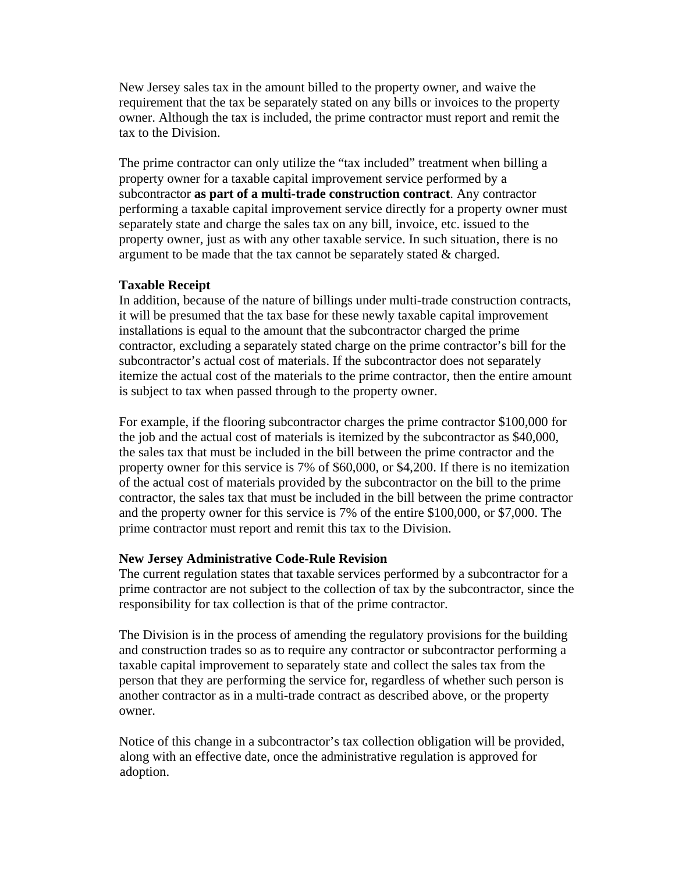New Jersey sales tax in the amount billed to the property owner, and waive the requirement that the tax be separately stated on any bills or invoices to the property owner. Although the tax is included, the prime contractor must report and remit the tax to the Division.

The prime contractor can only utilize the "tax included" treatment when billing a property owner for a taxable capital improvement service performed by a subcontractor **as part of a multi-trade construction contract**. Any contractor performing a taxable capital improvement service directly for a property owner must separately state and charge the sales tax on any bill, invoice, etc. issued to the property owner, just as with any other taxable service. In such situation, there is no argument to be made that the tax cannot be separately stated & charged.

## **Taxable Receipt**

In addition, because of the nature of billings under multi-trade construction contracts, it will be presumed that the tax base for these newly taxable capital improvement installations is equal to the amount that the subcontractor charged the prime contractor, excluding a separately stated charge on the prime contractor's bill for the subcontractor's actual cost of materials. If the subcontractor does not separately itemize the actual cost of the materials to the prime contractor, then the entire amount is subject to tax when passed through to the property owner.

For example, if the flooring subcontractor charges the prime contractor \$100,000 for the job and the actual cost of materials is itemized by the subcontractor as \$40,000, the sales tax that must be included in the bill between the prime contractor and the property owner for this service is 7% of \$60,000, or \$4,200. If there is no itemization of the actual cost of materials provided by the subcontractor on the bill to the prime contractor, the sales tax that must be included in the bill between the prime contractor and the property owner for this service is 7% of the entire \$100,000, or \$7,000. The prime contractor must report and remit this tax to the Division.

## **New Jersey Administrative Code-Rule Revision**

The current regulation states that taxable services performed by a subcontractor for a prime contractor are not subject to the collection of tax by the subcontractor, since the responsibility for tax collection is that of the prime contractor.

The Division is in the process of amending the regulatory provisions for the building and construction trades so as to require any contractor or subcontractor performing a taxable capital improvement to separately state and collect the sales tax from the person that they are performing the service for, regardless of whether such person is another contractor as in a multi-trade contract as described above, or the property owner.

Notice of this change in a subcontractor's tax collection obligation will be provided, along with an effective date, once the administrative regulation is approved for adoption.